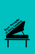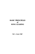# **BASIC PRINCIPLES of SONG LEADING**

By L. Leroy Neff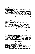Song leading has become a part of instruction in some of the classes at Ambassador College. The reason is obvious since many graduates have regular duties as song leaders, in addition to their preaching and teaching responsibilities.

The lessons learned about speech technique in speech class should also be employed by the song leader. A song leader is a sort of "toastmaster," or "master of ceremonies." He should be friendly, have good stage presence, some proper humor, and also have a genuine interest in his audience and the occasions.

A person who is not familiar with song leading may at first consider this kind of speech opportunity as a strange and unusual situation, which requires considerable musical background and training. This is not the case at all! Any good speaker who has a sense of rhythm and is able to sing the hymns can also, with diligence and perseverance, be a song leader. But you need the basic song leading instruction included in this book.

If you have studied music or music notation, you will already have much of the basic knowledge necessary to lead songs. If you do not have such a background, you should carefully study all that follows. The information concerning musical notation can be skipped over if you already understand music fundamentals.

There are certain basic rudiments of music, such as the system of time notation, which should be understood. The duration of time that any one particular note is held is dependent on the following points. (I) The speed of the pulses, or counts, per minute. (2) The number of counts or fraction of counts for the particular note.

In order to understand this clearly, it is necessary to know how the element of *time* is indicated in music today.

At the beginning of each musical composition you will find the clef signature. This gives the musician information relative to pitch. There will usually be an accompanist on the piano available to set the *pitch.* 

#### Time Indicators

Immediately following this clef signature you will notice two numbers arranged, one above the other. It is

*necessary* for the song leader to understand what this means, as it has to do with the *time element* of the music.



The upper number always indicates the number of counts per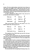measure. The lower number indicates which kind of note will get one count. Here is an example. This is called four-four time and is also occasionally indicated by a large letterC, which means that it is *common*  time. The upper number indicates that the selection will have four counts to each measure, and the lower figure indicates that each quarter  $(1/4)$  note  $\left(\begin{matrix} 1 \end{matrix}\right)$  will receive one count.

In order to understand the different kinds of notes, here are the principal ones that are used in our hymns.



There are also musical notations for short periods of rest. You should compare them with the notes above.



The comparison of *time* used for these notes and rests is the *same ratio* as their numerical values.

Very often a dot is used following a note. This increases the length of the note by *one half.* It is important to remember this if you are trying to count out a measure which has a dotted note. Notice one example in the dotted quarter above.

After the number of counts to a measure are determined, and what *kind* of note will get *one* count, it is also necessary to observe the *speed* or *tempo* at which the composition will be sung. If it is very *rapid* and has six counts, it may be necessary to *divide* each measure into fewer beats, such as two or three beats. In some cases the songs we sing have *six* counts to the measure; however, the RHYTHM is actually eithertwo *beats* or *three beats* to the measure. An exception which requires this kind of change is included in a later place in this article.

This same principle holds true regarding the directing of music. It is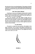the *rhythm* that is beat out by the hand gestures. The exception to this rule is when there is a long note which is held longer than the indicated time (a held note) or at the end of the song where the last note may be held longer than indicated.

#### Only Three Gesture Patterns!

Surprising as it may seem to the beginner, there are only two gesture patterns that need to be learned in order to properly lead the songs in our hymnal. There is another pattern that is used in some other songs that you may encounter, so we are also including it.

All of the drawings of the basic pattern of beats are for a right-handed person and are drawn out just as they would appear from the point of view of the song leader. A person who is left-handed would have the left and right directions reversed. A person using *both hands* in leading would use the pattern as indicated with the right hand and just the reverse with the left hand.

#### Two Beat Pattern

This pattern is a simple down-and-up stroke, with a slight arc to the right. Occasionally, the two counts for this pattern of directing can be slightly altered to give more flexibility. Instead of the downstroke being connt one and the upstroke being count two, the complete down-and-up stroke can be used as *one* count.

2

#### FIGURE A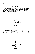#### **Three Beat Pattern**

The next pattern of gestures are those for rhythm using three beats. This is done with a downstroke for the first count, a stroke to the right for Number 2 and then an upstroke for Number 3. These strokes form an irregular but somewhat graceful triangle.

**FIGURE B** 

#### **Four Beat Pattern**

The last pattern is for rhythm of four beats. It is a little more complex than the others. The first stroke is (as always) a downstroke, stroke Number 2 is toward the left, stroke 3 to the right passing over the midpoint to approximately an equal distance to the right, then an upstroke completing the pattern with beat Number 4.



**FIGURE C**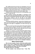One cardinal point that must always be remembered is that each measure must start with a *downbeat.* Notice that each of the three patterns in Figures A, B and C start with a *downstroke* . The measure markings are indicated by vertical lines between notes. You should always have a downstroke *immediately following* one of these measure lines.

Probably the most common technical error with song leaders in the church is to violate this rule.

Before starting to practice song leading, it is necessary to first ascertain which of these three patterns should be used for a specific song. Then, before ever attempting to lead the song in public, the song leader should practice enough so that he can beat out this pattern AUTOMATICALLY, without having to give thought or consideration to the gestures.

The gestures should be automatic. A person who is leading the songs needs to have his full attention on other matters such as announcements, instructions to the singers or congregation, the words of the song, and singing.

There are several ways that one may practice these gesture patterns so that they become automatic. The ideal way is to have a pianist or musician play the music while the novice song leader practices going through these patterns in rhythm with the music.

Another way to practice is to merely think these patterns through, just as though you were directing the songs or music, whenever you hear music sung or played. In fact, you can employ your right index finger to go through these very same patterns and motions when you hear music. The main thing is to get these patterns *ingrained* in your *mind* so that they are automatic and so that you do not have to think about the pattern.

It may be helpful to practice these patterns before a mirror to see whether the gestures appear natural or whether they appear unnatural, jerky, out of proportion, or in some other way improper or distracting.

#### **Different Hymnal Examples**

Here are some examples of hymns with the *beat* numbers printed directly over the notes. Compare these numbers with the appropriate pattern of Figures A, B and C. Also notice that the beginning note and the note following each measure line *must* be a downbeat! each measure line *must* be a downbeat!

The first example is that well-known hymn, "Come, **Thou**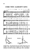# **COME THOU ALMIGHTY KING**



Almighty King." This particular piece has a rhythm of three beats to the measure, so the pattern shown in Figure B is used. The rhythm is continued to the end of the piece without pause, hold or interruption.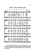## LORD, I WILL PRAISE THEE!



The next song reproduced here is "Lord, I Will Praise Thee." It has four beats to the measure and is directed according to the pattern of Figure C. Please note again the overprinted numbers to give you the beats of each measure.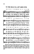### TO THE HILLS I'LL LIFT MINE EYES



There are a number of songs in the hymnal which call for six beats to the measure. They usually can be directed by using *two* patterns of three beats each. Such a piece is "To the Hills I'll Lift Mine Eyes." Notice the overprinted numbers to show where beat Number I and Number 2 are used.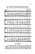



The "Upbeat"

A new procedure is used with the song, "Mt. Zion Stands Most Beautiful." Notice that there is a one-quarter note before the first complete measure. This is called an *upbeat.* Remember the cardinal rule that the *beginning* of each measure must start with a downstroke. Since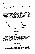each measure must start with a downstroke, then each measure must *end*  with an upstroke. The first note of a song beginning with an upbeat is done with Number 3 in Figure B or beat Number 4 in Figure C. However, since this note commences the song, and in order to get the attention of the audience, it is best to have the arm raised at the start, a little higher than at the bottom of the strokes pictured by Figures Band C. Figure D will indicate approximately the place where the stroke should begin. In order for you to understand more clearly, this upbeat is superimposed with dark lines over dotted lines, reproducing the three- and four-count pattern. It is a sort of combination of a down-and-up stroke, as you will notice; however, the *upward* part of the stroke *is emphasized.* 



**FIGURE D** 

#### **Holds**

Holds are an important part to music. They are indicated by this sign  $(\hat{\tau})$  and mean that the *rhythm* that has been set is *interrupted* and held for a longer time. During a *hold* the rhythmic beating *is not* continued.

Whenever you come to the end of the final stanza or to a note which has a hold over it, the hands should be held in an outward position until you wish to stop the music.

#### **Final Suggestions**

Any person who anticipates having an opportunity to lead songs *must* PRACTICE! Then, if an opportunity comes to lead songs, be sure to be the song *leader.* Do not permit the singers, the congregation, or the *piano player* to be the leader. Be *definite* and *precise* in your gestures. Do